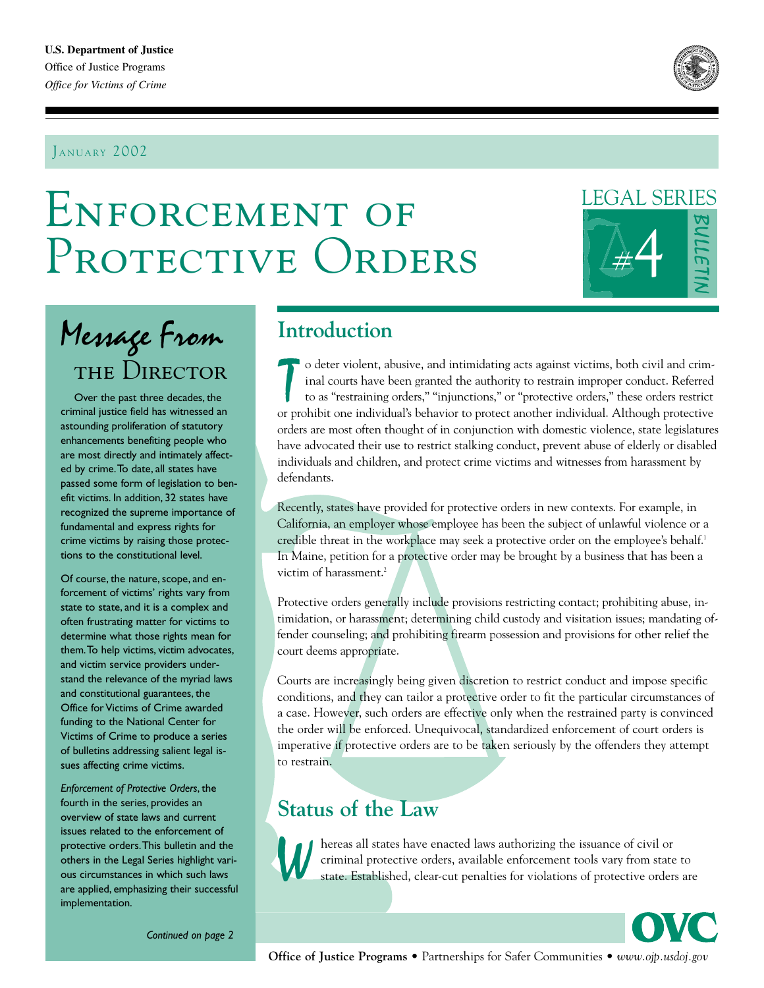#### JANUARY 2002



# Enforcement of PROTECTIVE ORDERS

## LEGAL SERIES



## Message From the Director

Over the past three decades, the criminal justice field has witnessed an astounding proliferation of statutory enhancements benefiting people who are most directly and intimately affected by crime.To date, all states have passed some form of legislation to benefit victims. In addition, 32 states have recognized the supreme importance of fundamental and express rights for crime victims by raising those protections to the constitutional level.

Of course, the nature, scope, and enforcement of victims' rights vary from state to state, and it is a complex and often frustrating matter for victims to determine what those rights mean for them.To help victims, victim advocates, and victim service providers understand the relevance of the myriad laws and constitutional guarantees, the Office for Victims of Crime awarded funding to the National Center for Victims of Crime to produce a series of bulletins addressing salient legal issues affecting crime victims.

*Enforcement of Protective Orders*, the fourth in the series, provides an overview of state laws and current issues related to the enforcement of protective orders.This bulletin and the others in the Legal Series highlight various circumstances in which such laws are applied, emphasizing their successful implementation.

## **Introduction**

The original courts have been granted the authority to restrain improper conduct. Referred to as "restraining orders," "injunctions," or "protective orders," these orders restrict or prohibit one individual's behavior to p inal courts have been granted the authority to restrain improper conduct. Referred to as "restraining orders," "injunctions," or "protective orders," these orders restrict or prohibit one individual's behavior to protect another individual. Although protective orders are most often thought of in conjunction with domestic violence, state legislatures have advocated their use to restrict stalking conduct, prevent abuse of elderly or disabled individuals and children, and protect crime victims and witnesses from harassment by defendants.

Recently, states have provided for protective orders in new contexts. For example, in California, an employer whose employee has been the subject of unlawful violence or a credible threat in the workplace may seek a protective order on the employee's behalf.<sup>1</sup> In Maine, petition for a protective order may be brought by a business that has been a victim of harassment.<sup>2</sup>

Protective orders generally include provisions restricting contact; prohibiting abuse, intimidation, or harassment; determining child custody and visitation issues; mandating offender counseling; and prohibiting firearm possession and provisions for other relief the court deems appropriate.

Courts are increasingly being given discretion to restrict conduct and impose specific conditions, and they can tailor a protective order to fit the particular circumstances of a case. However, such orders are effective only when the restrained party is convinced the order will be enforced. Unequivocal, standardized enforcement of court orders is imperative if protective orders are to be taken seriously by the offenders they attempt to restrain.

## **Status of the Law**



A hereas all states have enacted laws authorizing the issuance of civil or criminal protective orders, available enforcement tools vary from state state. Established, clear-cut penalties for violations of protective orders criminal protective orders, available enforcement tools vary from state to state. Established, clear-cut penalties for violations of protective orders are

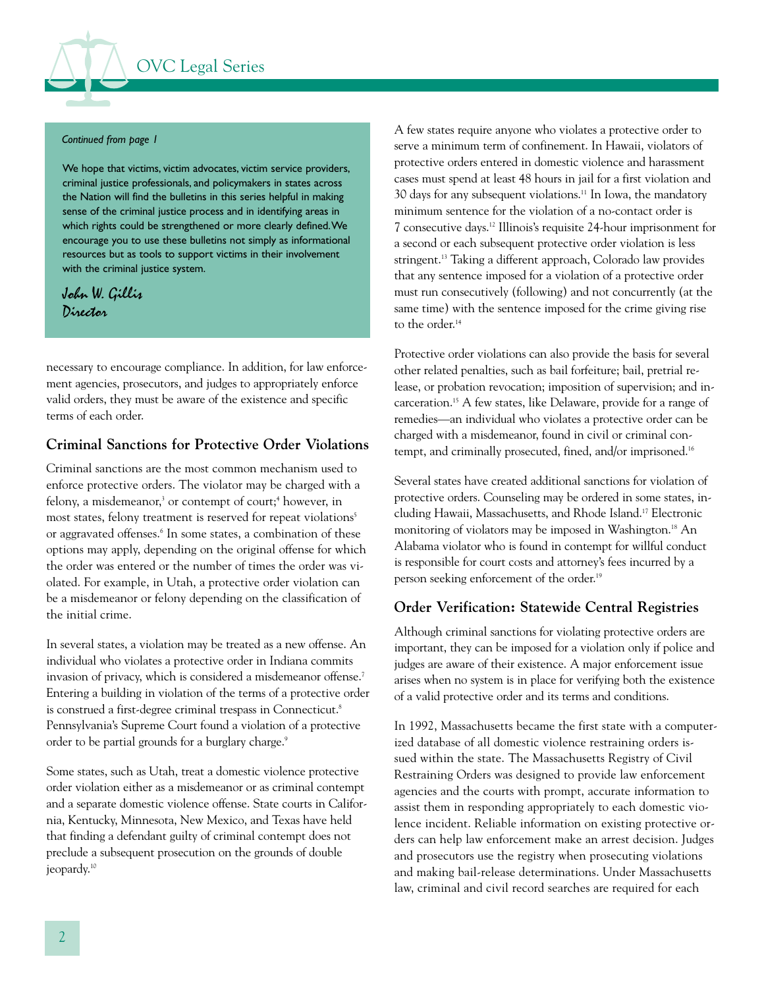#### *Continued from page 1*

We hope that victims, victim advocates, victim service providers, criminal justice professionals, and policymakers in states across the Nation will find the bulletins in this series helpful in making sense of the criminal justice process and in identifying areas in which rights could be strengthened or more clearly defined.We encourage you to use these bulletins not simply as informational resources but as tools to support victims in their involvement with the criminal justice system.

#### John W. Gillis Director

necessary to encourage compliance. In addition, for law enforcement agencies, prosecutors, and judges to appropriately enforce valid orders, they must be aware of the existence and specific terms of each order.

#### **Criminal Sanctions for Protective Order Violations**

Criminal sanctions are the most common mechanism used to enforce protective orders. The violator may be charged with a felony, a misdemeanor,<sup>3</sup> or contempt of court:<sup>4</sup> however, in most states, felony treatment is reserved for repeat violations<sup>5</sup> or aggravated offenses.<sup>6</sup> In some states, a combination of these options may apply, depending on the original offense for which the order was entered or the number of times the order was violated. For example, in Utah, a protective order violation can be a misdemeanor or felony depending on the classification of the initial crime.

In several states, a violation may be treated as a new offense. An individual who violates a protective order in Indiana commits invasion of privacy, which is considered a misdemeanor offense.7 Entering a building in violation of the terms of a protective order is construed a first-degree criminal trespass in Connecticut.<sup>8</sup> Pennsylvania's Supreme Court found a violation of a protective order to be partial grounds for a burglary charge.<sup>9</sup>

Some states, such as Utah, treat a domestic violence protective order violation either as a misdemeanor or as criminal contempt and a separate domestic violence offense. State courts in California, Kentucky, Minnesota, New Mexico, and Texas have held that finding a defendant guilty of criminal contempt does not preclude a subsequent prosecution on the grounds of double ieopardy.<sup>10</sup>

A few states require anyone who violates a protective order to serve a minimum term of confinement. In Hawaii, violators of protective orders entered in domestic violence and harassment cases must spend at least 48 hours in jail for a first violation and 30 days for any subsequent violations.11 In Iowa, the mandatory minimum sentence for the violation of a no-contact order is 7 consecutive days.12 Illinois's requisite 24-hour imprisonment for a second or each subsequent protective order violation is less stringent.<sup>13</sup> Taking a different approach, Colorado law provides that any sentence imposed for a violation of a protective order must run consecutively (following) and not concurrently (at the same time) with the sentence imposed for the crime giving rise to the order. 14

Protective order violations can also provide the basis for several other related penalties, such as bail forfeiture; bail, pretrial release, or probation revocation; imposition of supervision; and incarceration.15 A few states, like Delaware, provide for a range of remedies—an individual who violates a protective order can be charged with a misdemeanor, found in civil or criminal contempt, and criminally prosecuted, fined, and/or imprisoned.<sup>16</sup>

Several states have created additional sanctions for violation of protective orders. Counseling may be ordered in some states, including Hawaii, Massachusetts, and Rhode Island.17 Electronic monitoring of violators may be imposed in Washington.<sup>18</sup> An Alabama violator who is found in contempt for willful conduct is responsible for court costs and attorney's fees incurred by a person seeking enforcement of the order. 19

#### **Order Verification: Statewide Central Registries**

Although criminal sanctions for violating protective orders are important, they can be imposed for a violation only if police and judges are aware of their existence. A major enforcement issue arises when no system is in place for verifying both the existence of a valid protective order and its terms and conditions.

In 1992, Massachusetts became the first state with a computerized database of all domestic violence restraining orders issued within the state. The Massachusetts Registry of Civil Restraining Orders was designed to provide law enforcement agencies and the courts with prompt, accurate information to assist them in responding appropriately to each domestic violence incident. Reliable information on existing protective orders can help law enforcement make an arrest decision. Judges and prosecutors use the registry when prosecuting violations and making bail-release determinations. Under Massachusetts law, criminal and civil record searches are required for each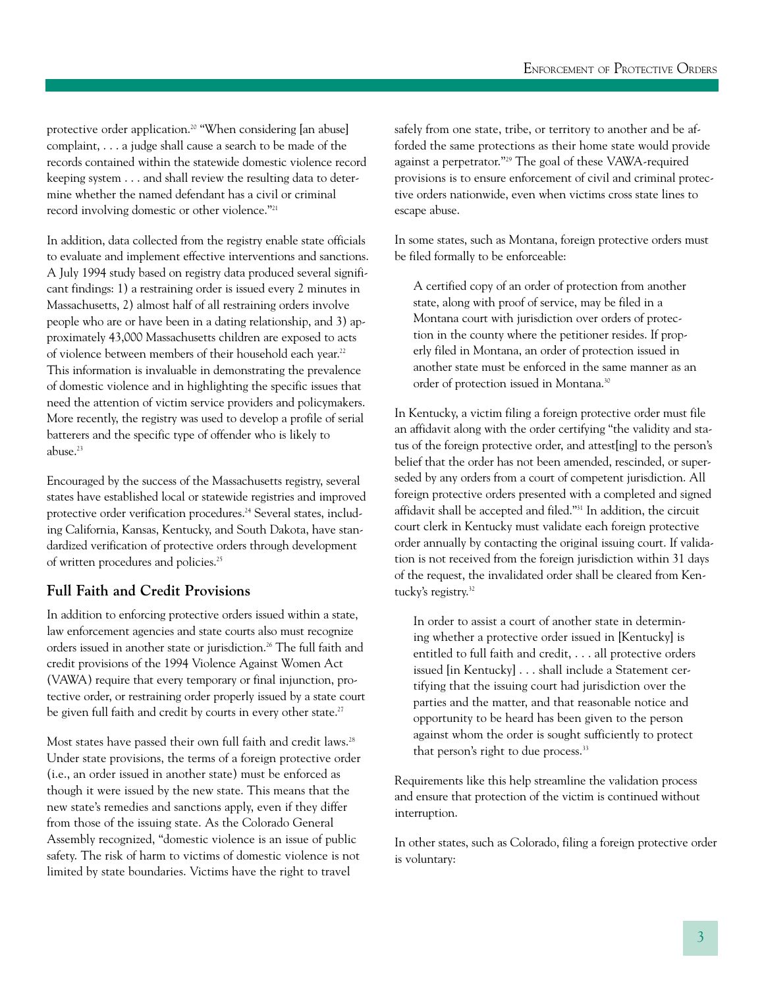protective order application. 20 "When considering [an abuse] complaint, . . . a judge shall cause a search to be made of the records contained within the statewide domestic violence record keeping system . . . and shall review the resulting data to determine whether the named defendant has a civil or criminal record involving domestic or other violence."21

In addition, data collected from the registry enable state officials to evaluate and implement effective interventions and sanctions. A July 1994 study based on registry data produced several significant findings: 1) a restraining order is issued every 2 minutes in Massachusetts, 2) almost half of all restraining orders involve people who are or have been in a dating relationship, and 3) approximately 43,000 Massachusetts children are exposed to acts of violence between members of their household each year. 22 This information is invaluable in demonstrating the prevalence of domestic violence and in highlighting the specific issues that need the attention of victim service providers and policymakers. More recently, the registry was used to develop a profile of serial batterers and the specific type of offender who is likely to abuse.<sup>23</sup>

Encouraged by the success of the Massachusetts registry, several states have established local or statewide registries and improved protective order verification procedures.<sup>24</sup> Several states, including California, Kansas, Kentucky, and South Dakota, have standardized verification of protective orders through development of written procedures and policies.25

#### **Full Faith and Credit Provisions**

In addition to enforcing protective orders issued within a state, law enforcement agencies and state courts also must recognize orders issued in another state or jurisdiction.<sup>26</sup> The full faith and credit provisions of the 1994 Violence Against Women Act (VAWA) require that every temporary or final injunction, protective order, or restraining order properly issued by a state court be given full faith and credit by courts in every other state.<sup>27</sup>

Most states have passed their own full faith and credit laws.<sup>28</sup> Under state provisions, the terms of a foreign protective order (i.e., an order issued in another state) must be enforced as though it were issued by the new state. This means that the new state's remedies and sanctions apply, even if they differ from those of the issuing state. As the Colorado General Assembly recognized, "domestic violence is an issue of public safety. The risk of harm to victims of domestic violence is not limited by state boundaries. Victims have the right to travel

safely from one state, tribe, or territory to another and be afforded the same protections as their home state would provide against a perpetrator."29 The goal of these VAWA-required provisions is to ensure enforcement of civil and criminal protective orders nationwide, even when victims cross state lines to escape abuse.

In some states, such as Montana, foreign protective orders must be filed formally to be enforceable:

A certified copy of an order of protection from another state, along with proof of service, may be filed in a Montana court with jurisdiction over orders of protection in the county where the petitioner resides. If properly filed in Montana, an order of protection issued in another state must be enforced in the same manner as an order of protection issued in Montana.30

In Kentucky, a victim filing a foreign protective order must file an affidavit along with the order certifying "the validity and status of the foreign protective order, and attest[ing] to the person's belief that the order has not been amended, rescinded, or superseded by any orders from a court of competent jurisdiction. All foreign protective orders presented with a completed and signed affidavit shall be accepted and filed."31 In addition, the circuit court clerk in Kentucky must validate each foreign protective order annually by contacting the original issuing court. If validation is not received from the foreign jurisdiction within 31 days of the request, the invalidated order shall be cleared from Kentucky's registry. 32

In order to assist a court of another state in determining whether a protective order issued in [Kentucky] is entitled to full faith and credit, . . . all protective orders issued [in Kentucky] . . . shall include a Statement certifying that the issuing court had jurisdiction over the parties and the matter, and that reasonable notice and opportunity to be heard has been given to the person against whom the order is sought sufficiently to protect that person's right to due process.<sup>33</sup>

Requirements like this help streamline the validation process and ensure that protection of the victim is continued without interruption.

In other states, such as Colorado, filing a foreign protective order is voluntary: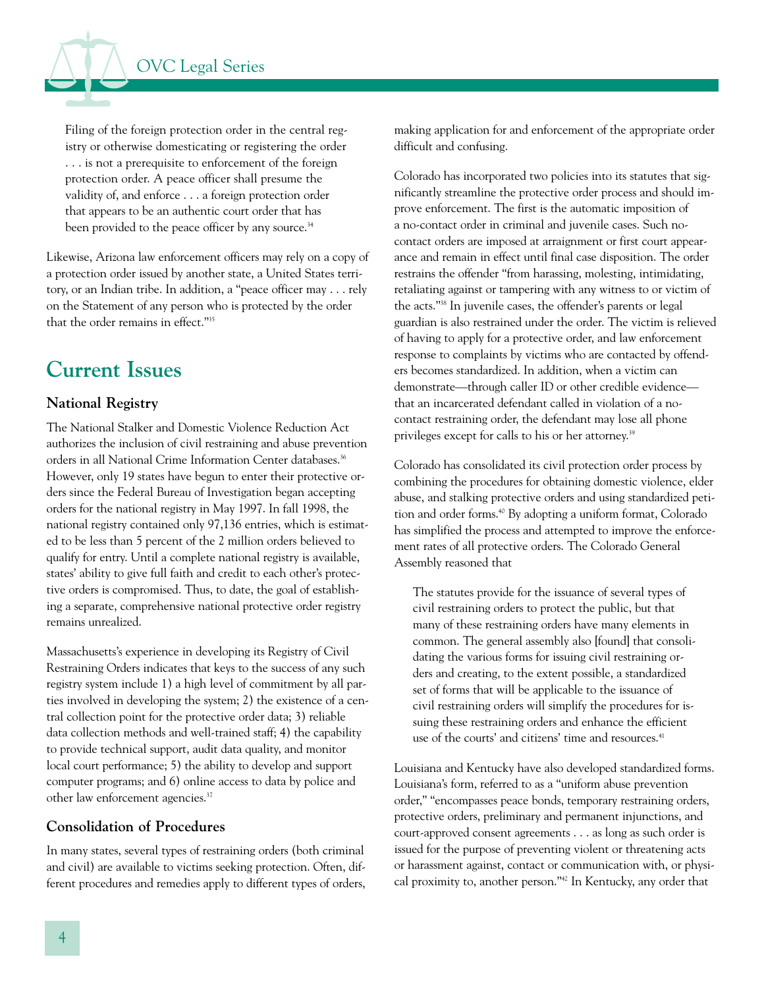

Filing of the foreign protection order in the central registry or otherwise domesticating or registering the order . . . is not a prerequisite to enforcement of the foreign protection order. A peace officer shall presume the validity of, and enforce . . . a foreign protection order that appears to be an authentic court order that has been provided to the peace officer by any source.<sup>34</sup>

Likewise, Arizona law enforcement officers may rely on a copy of a protection order issued by another state, a United States territory, or an Indian tribe. In addition, a "peace officer may . . . rely on the Statement of any person who is protected by the order that the order remains in effect."35

## **Current Issues**

#### **National Registry**

The National Stalker and Domestic Violence Reduction Act authorizes the inclusion of civil restraining and abuse prevention orders in all National Crime Information Center databases.<sup>36</sup> However, only 19 states have begun to enter their protective orders since the Federal Bureau of Investigation began accepting orders for the national registry in May 1997. In fall 1998, the national registry contained only 97,136 entries, which is estimated to be less than 5 percent of the 2 million orders believed to qualify for entry. Until a complete national registry is available, states' ability to give full faith and credit to each other's protective orders is compromised. Thus, to date, the goal of establishing a separate, comprehensive national protective order registry remains unrealized.

Massachusetts's experience in developing its Registry of Civil Restraining Orders indicates that keys to the success of any such registry system include 1) a high level of commitment by all parties involved in developing the system; 2) the existence of a central collection point for the protective order data; 3) reliable data collection methods and well-trained staff; 4) the capability to provide technical support, audit data quality, and monitor local court performance; 5) the ability to develop and support computer programs; and 6) online access to data by police and other law enforcement agencies.<sup>37</sup>

#### **Consolidation of Procedures**

In many states, several types of restraining orders (both criminal and civil) are available to victims seeking protection. Often, different procedures and remedies apply to different types of orders,

making application for and enforcement of the appropriate order difficult and confusing.

Colorado has incorporated two policies into its statutes that significantly streamline the protective order process and should improve enforcement. The first is the automatic imposition of a no-contact order in criminal and juvenile cases. Such nocontact orders are imposed at arraignment or first court appearance and remain in effect until final case disposition. The order restrains the offender "from harassing, molesting, intimidating, retaliating against or tampering with any witness to or victim of the acts."38 In juvenile cases, the offender's parents or legal guardian is also restrained under the order. The victim is relieved of having to apply for a protective order, and law enforcement response to complaints by victims who are contacted by offenders becomes standardized. In addition, when a victim can demonstrate—through caller ID or other credible evidence that an incarcerated defendant called in violation of a nocontact restraining order, the defendant may lose all phone privileges except for calls to his or her attorney. 39

Colorado has consolidated its civil protection order process by combining the procedures for obtaining domestic violence, elder abuse, and stalking protective orders and using standardized petition and order forms.<sup>40</sup> By adopting a uniform format, Colorado has simplified the process and attempted to improve the enforcement rates of all protective orders. The Colorado General Assembly reasoned that

The statutes provide for the issuance of several types of civil restraining orders to protect the public, but that many of these restraining orders have many elements in common. The general assembly also [found] that consolidating the various forms for issuing civil restraining orders and creating, to the extent possible, a standardized set of forms that will be applicable to the issuance of civil restraining orders will simplify the procedures for issuing these restraining orders and enhance the efficient use of the courts' and citizens' time and resources.<sup>41</sup>

Louisiana and Kentucky have also developed standardized forms. Louisiana's form, referred to as a "uniform abuse prevention order," "encompasses peace bonds, temporary restraining orders, protective orders, preliminary and permanent injunctions, and court-approved consent agreements . . . as long as such order is issued for the purpose of preventing violent or threatening acts or harassment against, contact or communication with, or physical proximity to, another person."42 In Kentucky, any order that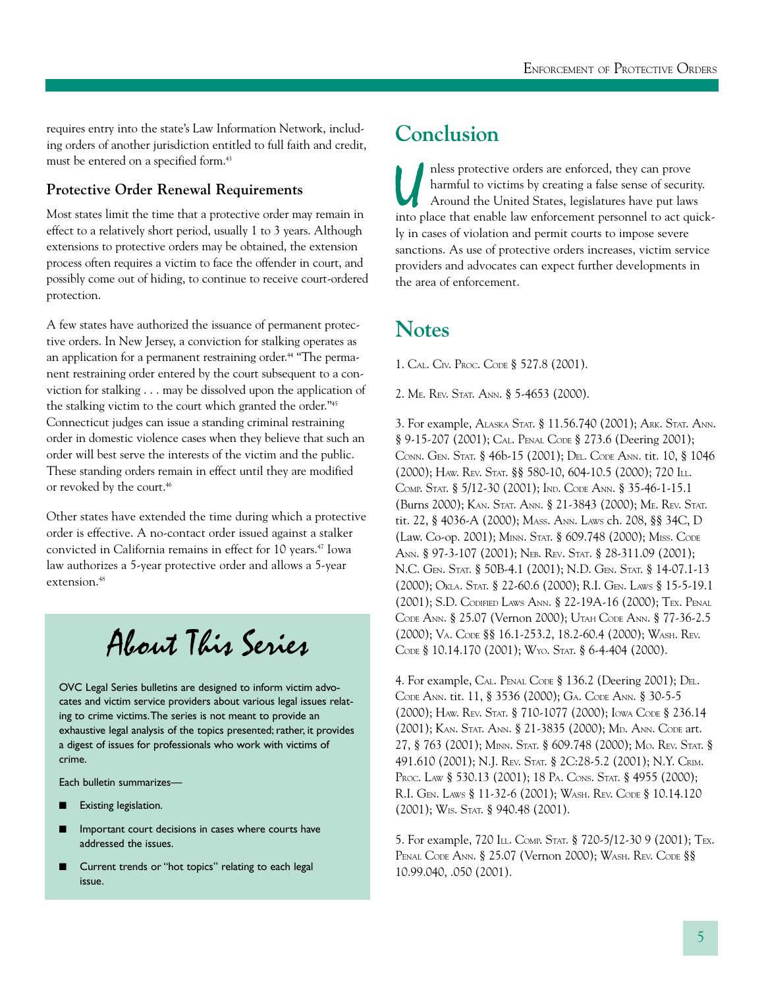requires entry into the state's Law Information Network, including orders of another jurisdiction entitled to full faith and credit, must be entered on a specified form.<sup>43</sup>

#### **Protective Order Renewal Requirements**

Most states limit the time that a protective order may remain in effect to a relatively short period, usually 1 to 3 years. Although extensions to protective orders may be obtained, the extension process often requires a victim to face the offender in court, and possibly come out of hiding, to continue to receive court-ordered protection.

A few states have authorized the issuance of permanent protective orders. In New Jersey, a conviction for stalking operates as an application for a permanent restraining order. 44 "The permanent restraining order entered by the court subsequent to a conviction for stalking . . . may be dissolved upon the application of the stalking victim to the court which granted the order."45 Connecticut judges can issue a standing criminal restraining order in domestic violence cases when they believe that such an order will best serve the interests of the victim and the public. These standing orders remain in effect until they are modified or revoked by the court.<sup>46</sup>

Other states have extended the time during which a protective order is effective. A no-contact order issued against a stalker convicted in California remains in effect for 10 years.47 Iowa law authorizes a 5-year protective order and allows a 5-year extension.48

## About This Series

OVC Legal Series bulletins are designed to inform victim advocates and victim service providers about various legal issues relating to crime victims.The series is not meant to provide an exhaustive legal analysis of the topics presented; rather, it provides a digest of issues for professionals who work with victims of crime.

Each bulletin summarizes—

- **Existing legislation.**
- Important court decisions in cases where courts have addressed the issues.
- **❋** Current trends or "hot topics" relating to each legal issue.

## **Conclusion**

I nless protective orders are enforced, they can prove harmful to victims by creating a false sense of securi Around the United States, legislatures have put law into place that enable law enforcement personnel to act qu harmful to victims by creating a false sense of security. Around the United States, legislatures have put laws into place that enable law enforcement personnel to act quickly in cases of violation and permit courts to impose severe sanctions. As use of protective orders increases, victim service providers and advocates can expect further developments in the area of enforcement.

### **Notes**

1. CAL. CIV. PROC. CODE § 527.8 (2001).

2. ME. REV. STAT. ANN. § 5-4653 (2000).

3. For example, ALASKA STAT. § 11.56.740 (2001); ARK. STAT. ANN. § 9-15-207 (2001); CAL. PENAL CODE § 273.6 (Deering 2001); CONN. GEN. STAT. § 46b-15 (2001); DEL. CODE ANN. tit. 10, § 1046 (2000); HAW. REV. STAT. §§ 580-10, 604-10.5 (2000); 720 ILL. COMP. STAT. § 5/12-30 (2001); IND. CODE ANN. § 35-46-1-15.1 (Burns 2000); KAN. STAT. ANN. § 21-3843 (2000); ME. REV. STAT. tit. 22, § 4036-A (2000); MASS. ANN. LAWS ch. 208, §§ 34C, D (Law. Co-op. 2001); MINN. STAT. § 609.748 (2000); MISS. CODE ANN. § 97-3-107 (2001); NEB. REV. STAT. § 28-311.09 (2001); N.C. GEN. STAT. § 50B-4.1 (2001); N.D. GEN. STAT. § 14-07.1-13 (2000); OKLA. STAT. § 22-60.6 (2000); R.I. GEN. LAWS § 15-5-19.1 (2001); S.D. CODIFIED LAWS ANN. § 22-19A-16 (2000); TEX. PENAL CODE ANN. § 25.07 (Vernon 2000); UTAH CODE ANN. § 77-36-2.5 (2000); VA. CODE §§ 16.1-253.2, 18.2-60.4 (2000); WASH. REV. CODE § 10.14.170 (2001); WYO. STAT. § 6-4-404 (2000).

4. For example, CAL. PENAL CODE § 136.2 (Deering 2001); DEL. CODE ANN. tit. 11, § 3536 (2000); GA. CODE ANN. § 30-5-5 (2000); HAW. REV. STAT. § 710-1077 (2000); IOWA CODE § 236.14 (2001); KAN. STAT. ANN. § 21-3835 (2000); MD. ANN. CODE art. 27, § 763 (2001); MINN. STAT. § 609.748 (2000); MO. REV. STAT. § 491.610 (2001); N.J. REV. STAT. § 2C:28-5.2 (2001); N.Y. CRIM. PROC. LAW § 530.13 (2001); 18 PA. CONS. STAT. § 4955 (2000); R.I. GEN. LAWS § 11-32-6 (2001); WASH. REV. CODE § 10.14.120 (2001); WIS. STAT. § 940.48 (2001).

5. For example, 720 ILL. COMP. STAT. § 720-5/12-30 9 (2001); TEX. PENAL CODE ANN. § 25.07 (Vernon 2000); WASH. REV. CODE §§ 10.99.040, .050 (2001).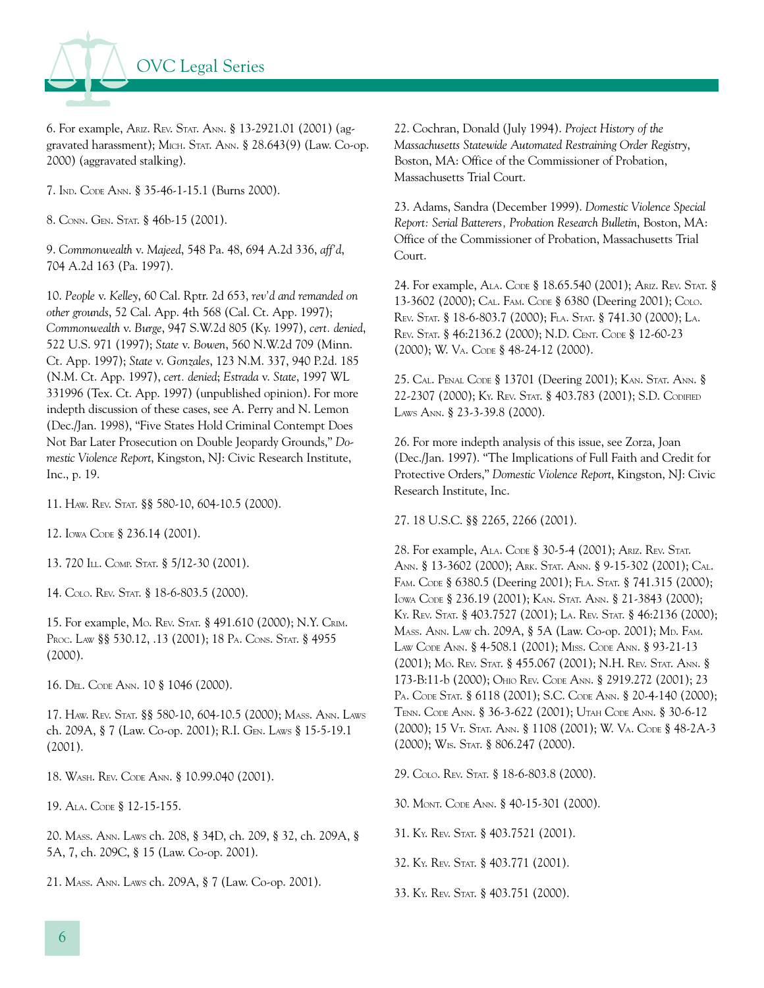

6. For example, ARIZ. REV. STAT. ANN. § 13-2921.01 (2001) (aggravated harassment); MICH. STAT. ANN. § 28.643(9) (Law. Co-op. 2000) (aggravated stalking).

7. IND. CODE ANN. § 35-46-1-15.1 (Burns 2000).

8. CONN. GEN. STAT. § 46b-15 (2001).

9. *Commonwealth* v. *Majeed*, 548 Pa. 48, 694 A.2d 336, *aff'd*, 704 A.2d 163 (Pa. 1997).

10. *People* v. *Kelley*, 60 Cal. Rptr. 2d 653, *rev'd and remanded on other grounds*, 52 Cal. App. 4th 568 (Cal. Ct. App. 1997); *Commonwealth* v. *Burge*, 947 S.W.2d 805 (Ky. 1997), *cert. denied*, 522 U.S. 971 (1997); *State* v. *Bowen*, 560 N.W.2d 709 (Minn. Ct. App. 1997); *State* v. *Gonzales*, 123 N.M. 337, 940 P.2d. 185 (N.M. Ct. App. 1997), *cert. denied*; *Estrada* v. *State*, 1997 WL 331996 (Tex. Ct. App. 1997) (unpublished opinion). For more indepth discussion of these cases, see A. Perry and N. Lemon (Dec./Jan. 1998), "Five States Hold Criminal Contempt Does Not Bar Later Prosecution on Double Jeopardy Grounds," *Domestic Violence Report*, Kingston, NJ: Civic Research Institute, Inc., p. 19.

11. HAW. REV. STAT. §§ 580-10, 604-10.5 (2000).

12. IOWA CODE § 236.14 (2001).

13. 720 ILL. COMP. STAT. § 5/12-30 (2001).

14. COLO. REV. STAT. § 18-6-803.5 (2000).

15. For example, MO. REV. STAT. § 491.610 (2000); N.Y. CRIM. Proc. Law §§ 530.12, .13 (2001); 18 PA. CONS. STAT. § 4955 (2000).

16. DEL. CODE ANN. 10 § 1046 (2000).

17. HAW. REV. STAT. §§ 580-10, 604-10.5 (2000); MASS. ANN. LAWS ch. 209A, § 7 (Law. Co-op. 2001); R.I. GEN. LAWS § 15-5-19.1 (2001).

18. WASH. REV. CODE ANN. § 10.99.040 (2001).

19. ALA. CODE § 12-15-155.

20. MASS. ANN. LAWS ch. 208, § 34D, ch. 209, § 32, ch. 209A, § 5A, 7, ch. 209C, § 15 (Law. Co-op. 2001).

21. MASS. ANN. LAWS ch. 209A, § 7 (Law. Co-op. 2001).

22. Cochran, Donald (July 1994). *Project History of the Massachusetts Statewide Automated Restraining Order Registry*, Boston, MA: Office of the Commissioner of Probation, Massachusetts Trial Court.

23. Adams, Sandra (December 1999). *Domestic Violence Special Report: Serial Batterers, Probation Research Bulletin*, Boston, MA: Office of the Commissioner of Probation, Massachusetts Trial Court.

24. For example, ALA. CODE § 18.65.540 (2001); ARIZ. REV. STAT.§ 13-3602 (2000); CAL. FAM. CODE § 6380 (Deering 2001); COLO. REV. STAT. § 18-6-803.7 (2000); FLA. STAT. § 741.30 (2000); LA. REV. STAT. § 46:2136.2 (2000); N.D. CENT. CODE § 12-60-23 (2000); W. VA. CODE § 48-24-12 (2000).

25. CAL. PENAL CODE § 13701 (Deering 2001); KAN. STAT. ANN.§ 22-2307 (2000); KY. REV. STAT. § 403.783 (2001); S.D. CODIFIED LAWS ANN. § 23-3-39.8 (2000).

26. For more indepth analysis of this issue, see Zorza, Joan (Dec./Jan. 1997). "The Implications of Full Faith and Credit for Protective Orders," *Domestic Violence Report*, Kingston, NJ: Civic Research Institute, Inc.

27. 18 U.S.C. §§ 2265, 2266 (2001).

28. For example, ALA. CODE § 30-5-4 (2001); ARIZ. REV. STAT. ANN. § 13-3602 (2000); ARK. STAT. ANN. § 9-15-302 (2001); CAL. FAM. CODE § 6380.5 (Deering 2001); FLA. STAT. § 741.315 (2000); IOWA CODE § 236.19 (2001); KAN. STAT. ANN. § 21-3843 (2000); KY. REV. STAT. § 403.7527 (2001); LA. REV. STAT. § 46:2136 (2000); MASS. ANN. LAW ch. 209A, § 5A (Law. Co-op. 2001); MD. FAM. LAW CODE ANN. § 4-508.1 (2001); MISS. CODE ANN. § 93-21-13 (2001); MO. REV. STAT. § 455.067 (2001); N.H. REV. STAT. ANN.§ 173-B:11-b (2000); OHIO REV. CODE ANN. § 2919.272 (2001); 23 PA. CODE STAT. § 6118 (2001); S.C. CODE ANN. § 20-4-140 (2000); TENN. CODE ANN. § 36-3-622 (2001); UTAH CODE ANN. § 30-6-12 (2000); 15 VT. STAT. ANN. § 1108 (2001); W. VA. CODE § 48-2A-3 (2000); WIS. STAT. § 806.247 (2000).

29. COLO. REV. STAT. § 18-6-803.8 (2000).

30. MONT. CODE ANN. § 40-15-301 (2000).

31. KY. REV. STAT. § 403.7521 (2001).

32. KY. REV. STAT. § 403.771 (2001).

33. KY. REV. STAT. § 403.751 (2000).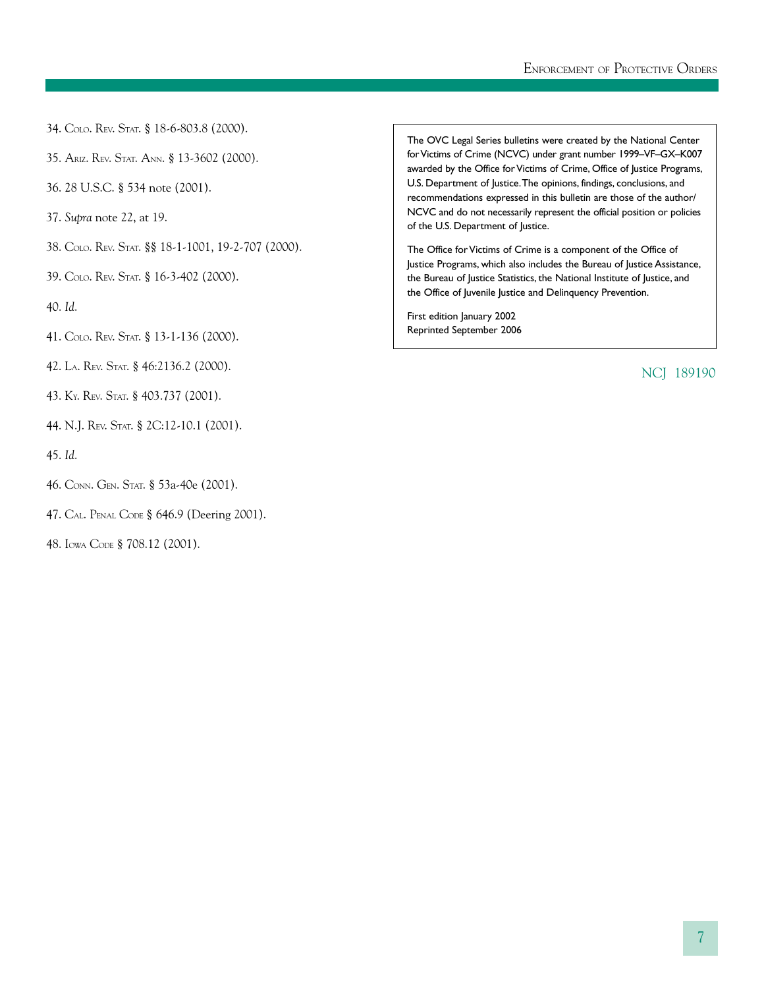- 34. COLO. REV. STAT. § 18-6-803.8 (2000).
- 35. ARIZ. REV. STAT. ANN. § 13-3602 (2000).
- 36. 28 U.S.C. § 534 note (2001).
- 37. *Supra* note 22, at 19.
- 38. COLO. REV. STAT. §§ 18-1-1001, 19-2-707 (2000).
- 39. COLO. REV. STAT. § 16-3-402 (2000).
- 40. *Id*.
- 41. COLO. REV. STAT. § 13-1-136 (2000).
- 42. LA. REV. STAT. § 46:2136.2 (2000).
- 43. KY. REV. STAT. § 403.737 (2001).
- 44. N.J. REV. STAT. § 2C:12-10.1 (2001).
- 45. *Id*.
- 46. CONN. GEN. STAT. § 53a-40e (2001).
- 47. CAL. PENAL CODE § 646.9 (Deering 2001).
- 48. IOWA CODE § 708.12 (2001).

The OVC Legal Series bulletins were created by the National Center for Victims of Crime (NCVC) under grant number 1999–VF–GX–K007 awarded by the Office for Victims of Crime, Office of Justice Programs, U.S. Department of Justice.The opinions, findings, conclusions, and recommendations expressed in this bulletin are those of the author/ NCVC and do not necessarily represent the official position or policies of the U.S. Department of Justice.

The Office for Victims of Crime is a component of the Office of Justice Programs, which also includes the Bureau of Justice Assistance, the Bureau of Justice Statistics, the National Institute of Justice, and the Office of Juvenile Justice and Delinquency Prevention.

First edition January 2002 Reprinted September 2006

NCJ 189190